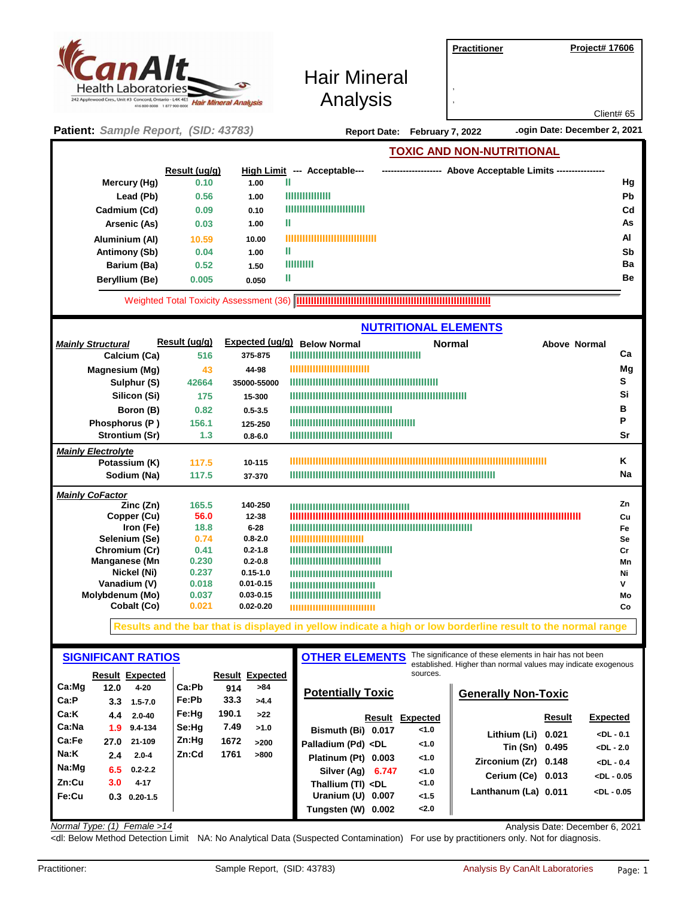| CanAlt_<br><b>Health Laboratories</b><br>242 Applewood Cres., Unit #3 Concord, Ontario - L4K 4E5 | <b>Hair Mineral Analysis</b><br>416 800-8008 1 877 900-8008 |                   | <b>Hair Mineral</b><br>Analysis                                         |                      | <b>Practitioner</b>       | <b>Project# 17606</b><br>Client# 65      |
|--------------------------------------------------------------------------------------------------|-------------------------------------------------------------|-------------------|-------------------------------------------------------------------------|----------------------|---------------------------|------------------------------------------|
| Patient: Sample Report, (SID: 43783)                                                             |                                                             |                   | .ogin Date: December 2, 2021<br>February 7, 2022<br><b>Report Date:</b> |                      |                           |                                          |
|                                                                                                  |                                                             |                   |                                                                         |                      | TOXIC AND NON-NUTRITIONAL |                                          |
|                                                                                                  | Result (ug/g)                                               | <b>High Limit</b> | --- Acceptable---                                                       | -------------------- |                           | Above Acceptable Limits ---------------- |
| Mercury (Hg)                                                                                     | 0.10                                                        | 1.00              | Ш                                                                       |                      |                           | Hg                                       |
| Lead (Pb)                                                                                        | 0.56                                                        | 1.00              | ,,,,,,,,,,,,,,,                                                         |                      |                           | Pb                                       |
| Cadmium (Cd)                                                                                     | 0.09                                                        | 0.10              | ,,,,,,,,,,,,,,,,,,,,,,,,,,                                              |                      |                           | Cd                                       |
| Arsenic (As)                                                                                     | 0.03                                                        | 1.00              | Ш                                                                       |                      |                           | As                                       |
| Aluminium (Al)                                                                                   | 10.59                                                       | 10.00             | ,,,,,,,,,,,,,,,,,,,,,,,,,                                               |                      |                           | AI                                       |
| Antimony (Sb)                                                                                    | 0.04                                                        | 1.00              | Ш                                                                       |                      |                           | Sb                                       |
| Barium (Ba)                                                                                      | 0.52                                                        | 1.50              | 1111111111                                                              |                      |                           | Ba                                       |
| Beryllium (Be)                                                                                   | 0.005                                                       | 0.050             | Ш                                                                       |                      |                           | <b>Be</b>                                |

**IIIIIIIIIIIIIIIIIIIIIIIIIIIIIIIIIIIIIIIIIIIIIIIIIIIIIIIIIIIIIIIIIIII** Weighted Total Toxicity Assessment (36)

|                           |               | <b>NUTRITIONAL ELEMENTS</b> |                                                                                                                      |    |  |
|---------------------------|---------------|-----------------------------|----------------------------------------------------------------------------------------------------------------------|----|--|
| <b>Mainly Structural</b>  | Result (ug/g) | Expected (ug/g)             | <b>Normal</b><br><b>Below Normal</b><br><b>Above Normal</b>                                                          |    |  |
| Calcium (Ca)              | 516           | 375-875                     |                                                                                                                      | Ca |  |
| Magnesium (Mg)            | 43            | 44-98                       | ,,,,,,,,,,,,,,,,,,,,,,,,,,                                                                                           | Mg |  |
| Sulphur (S)               | 42664         | 35000-55000                 |                                                                                                                      | s  |  |
| Silicon (Si)              | 175           | 15-300                      |                                                                                                                      | Si |  |
| Boron (B)                 | 0.82          | $0.5 - 3.5$                 | ,,,,,,,,,,,,,,,,,,,,,,,,,,,,,,,,,,                                                                                   | в  |  |
| Phosphorus (P)            | 156.1         | 125-250                     |                                                                                                                      | P  |  |
| Strontium (Sr)            | 1.3           | $0.8 - 6.0$                 | ,,,,,,,,,,,,,,,,,,,,,,,,,,,,,,,,,,                                                                                   | Sr |  |
| <b>Mainly Electrolyte</b> |               |                             |                                                                                                                      |    |  |
| Potassium (K)             | 117.5         | 10-115                      |                                                                                                                      | ĸ  |  |
| Sodium (Na)               | 117.5         | 37-370                      |                                                                                                                      | Na |  |
| <b>Mainly CoFactor</b>    |               |                             |                                                                                                                      |    |  |
| Zinc (Zn)                 | 165.5         | 140-250                     |                                                                                                                      | Zn |  |
| Copper (Cu)               | 56.0          | 12-38                       |                                                                                                                      | Cu |  |
| Iron (Fe)                 | 18.8          | $6 - 28$                    | <u> 1111   1111   1111   1111   1111   1111   1111   1111   1111   1111   1111   1111   1111   1111   1111   111</u> | Fe |  |
| Selenium (Se)             | 0.74          | $0.8 - 2.0$                 | ,,,,,,,,,,,,,,,,,,,,,,,,,                                                                                            | Se |  |
| Chromium (Cr)             | 0.41          | $0.2 - 1.8$                 | ,,,,,,,,,,,,,,,,,,,,,,,,,,,,,,,,,,                                                                                   | Cr |  |
| Manganese (Mn             | 0.230         | $0.2 - 0.8$                 | ,,,,,,,,,,,,,,,,,,,,,,,,,,,,,,                                                                                       | Mn |  |
| Nickel (Ni)               | 0.237         | $0.15 - 1.0$                | ,,,,,,,,,,,,,,,,,,,,,,,,,,,,,,,,,,                                                                                   | Ni |  |
| Vanadium (V)              | 0.018         | $0.01 - 0.15$               | ,,,,,,,,,,,,,,,,,,,,,,,,,,,,                                                                                         | v  |  |
| Molybdenum (Mo)           | 0.037         | $0.03 - 0.15$               | ,,,,,,,,,,,,,,,,,,,,,,,,,,,,,                                                                                        | Mo |  |
| Cobalt (Co)               | 0.021         | $0.02 - 0.20$               | ,,,,,,,,,,,,,,,,,,,,,,,,,,,,,                                                                                        | Co |  |

**Results and the bar that is displayed in yellow indicate a high or low borderline result to the normal range** 

| <b>SIGNIFICANT RATIOS</b> |                                                    |                | <b>OTHER ELEMENTS</b> | The significance of these elements in hair has not been<br>established. Higher than normal values may indicate exogenous |                                                                                                                    |               |                            |        |                 |
|---------------------------|----------------------------------------------------|----------------|-----------------------|--------------------------------------------------------------------------------------------------------------------------|--------------------------------------------------------------------------------------------------------------------|---------------|----------------------------|--------|-----------------|
| Ca:Mq                     | <b>Result Expected</b><br>12.0<br>$4 - 20$         | Ca:Pb          | 914                   | <b>Result Expected</b><br>>84                                                                                            | <b>Potentially Toxic</b>                                                                                           | sources.      |                            |        |                 |
| Ca:P                      | 3.3<br>$1.5 - 7.0$                                 | Fe:Pb          | 33.3                  | >4.4                                                                                                                     |                                                                                                                    |               | <b>Generally Non-Toxic</b> |        |                 |
| Ca:K                      | 4.4<br>$2.0 - 40$                                  | Fe:Hq          | 190.1                 | >22                                                                                                                      | Result                                                                                                             | Expected      |                            | Result | <b>Expected</b> |
| Ca:Na                     | $9.4 - 134$<br>1.9 <sup>°</sup>                    | Se:Hq<br>Zn:Hq | 7.49                  | >1.0                                                                                                                     | Bismuth (Bi) 0.017                                                                                                 | < 1.0         | Lithium (Li) 0.021         |        | $<$ DL - 0.1    |
| Ca:Fe<br>Na:K             | 21-109<br>27.0<br>$2.0 - 4$                        | Zn:Cd          | 1672<br>1761          | >200<br>>800                                                                                                             | Palladium (Pd) <dl< td=""><td>&lt;1.0</td><td>Tin (Sn) 0.495</td><td></td><td><math>&lt;</math>DL - 2.0</td></dl<> | <1.0          | Tin (Sn) 0.495             |        | $<$ DL - 2.0    |
| Na:Mg                     | $2.4^{\circ}$                                      |                |                       |                                                                                                                          | Platinum (Pt) 0.003                                                                                                | < 1.0         | Zirconium (Zr) 0.148       |        | $<$ DL - 0.4    |
| Zn:Cu                     | 6.5<br>$0.2 - 2.2$<br>3.0 <sub>2</sub><br>$4 - 17$ |                |                       |                                                                                                                          | Silver (Ag)<br>6.747                                                                                               | < 1.0<br><1.0 | Cerium (Ce) 0.013          |        | $<$ DL - 0.05   |
| Fe:Cu                     | $0.3$ 0.20-1.5                                     |                |                       |                                                                                                                          | Thallium (TI) <dl<br>Uranium (U) 0.007</dl<br>                                                                     | < 1.5         | Lanthanum (La) 0.011       |        | $<$ DL - 0.05   |
|                           |                                                    |                |                       |                                                                                                                          | Tungsten (W) 0.002                                                                                                 | 2.0           |                            |        |                 |

*Normal Type: (1) Female >14* Analysis Date: December 6, 2021

<dl: Below Method Detection Limit NA: No Analytical Data (Suspected Contamination) For use by practitioners only. Not for diagnosis.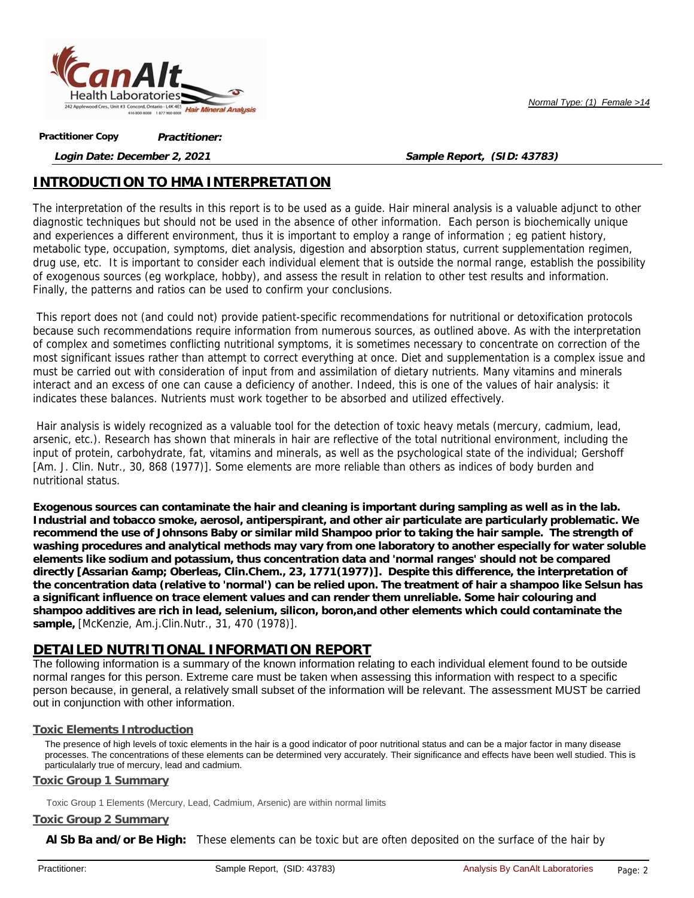

*Normal Type: (1) Female >14*

**Practitioner: Practitioner Copy**

**Login Date: December 2, 2021**

**Sample Report, (SID: 43783)**

# **INTRODUCTION TO HMA INTERPRETATION**

The interpretation of the results in this report is to be used as a guide. Hair mineral analysis is a valuable adjunct to other diagnostic techniques but should not be used in the absence of other information. Each person is biochemically unique and experiences a different environment, thus it is important to employ a range of information ; eg patient history, metabolic type, occupation, symptoms, diet analysis, digestion and absorption status, current supplementation regimen, drug use, etc. It is important to consider each individual element that is outside the normal range, establish the possibility of exogenous sources (eg workplace, hobby), and assess the result in relation to other test results and information. Finally, the patterns and ratios can be used to confirm your conclusions.

This report does not (and could not) provide patient-specific recommendations for nutritional or detoxification protocols because such recommendations require information from numerous sources, as outlined above. As with the interpretation of complex and sometimes conflicting nutritional symptoms, it is sometimes necessary to concentrate on correction of the most significant issues rather than attempt to correct everything at once. Diet and supplementation is a complex issue and must be carried out with consideration of input from and assimilation of dietary nutrients. Many vitamins and minerals interact and an excess of one can cause a deficiency of another. Indeed, this is one of the values of hair analysis: it indicates these balances. Nutrients must work together to be absorbed and utilized effectively.

Hair analysis is widely recognized as a valuable tool for the detection of toxic heavy metals (mercury, cadmium, lead, arsenic, etc.). Research has shown that minerals in hair are reflective of the total nutritional environment, including the input of protein, carbohydrate, fat, vitamins and minerals, as well as the psychological state of the individual; Gershoff [Am. J. Clin. Nutr., 30, 868 (1977)]. Some elements are more reliable than others as indices of body burden and nutritional status.

**Exogenous sources can contaminate the hair and cleaning is important during sampling as well as in the lab. Industrial and tobacco smoke, aerosol, antiperspirant, and other air particulate are particularly problematic. We recommend the use of Johnsons Baby or similar mild Shampoo prior to taking the hair sample. The strength of washing procedures and analytical methods may vary from one laboratory to another especially for water soluble elements like sodium and potassium, thus concentration data and 'normal ranges' should not be compared directly [Assarian & Oberleas, Clin.Chem., 23, 1771(1977)]. Despite this difference, the interpretation of the concentration data (relative to 'normal') can be relied upon. The treatment of hair a shampoo like Selsun has a significant influence on trace element values and can render them unreliable. Some hair colouring and shampoo additives are rich in lead, selenium, silicon, boron,and other elements which could contaminate the sample,** [McKenzie, Am.j.Clin.Nutr., 31, 470 (1978)].

# **DETAILED NUTRITIONAL INFORMATION REPORT**

The following information is a summary of the known information relating to each individual element found to be outside normal ranges for this person. Extreme care must be taken when assessing this information with respect to a specific person because, in general, a relatively small subset of the information will be relevant. The assessment MUST be carried out in conjunction with other information.

# **Toxic Elements Introduction**

The presence of high levels of toxic elements in the hair is a good indicator of poor nutritional status and can be a major factor in many disease processes. The concentrations of these elements can be determined very accurately. Their significance and effects have been well studied. This is particulalarly true of mercury, lead and cadmium.

## **Toxic Group 1 Summary**

Toxic Group 1 Elements (Mercury, Lead, Cadmium, Arsenic) are within normal limits

## **Toxic Group 2 Summary**

**Al Sb Ba and/or Be High:** These elements can be toxic but are often deposited on the surface of the hair by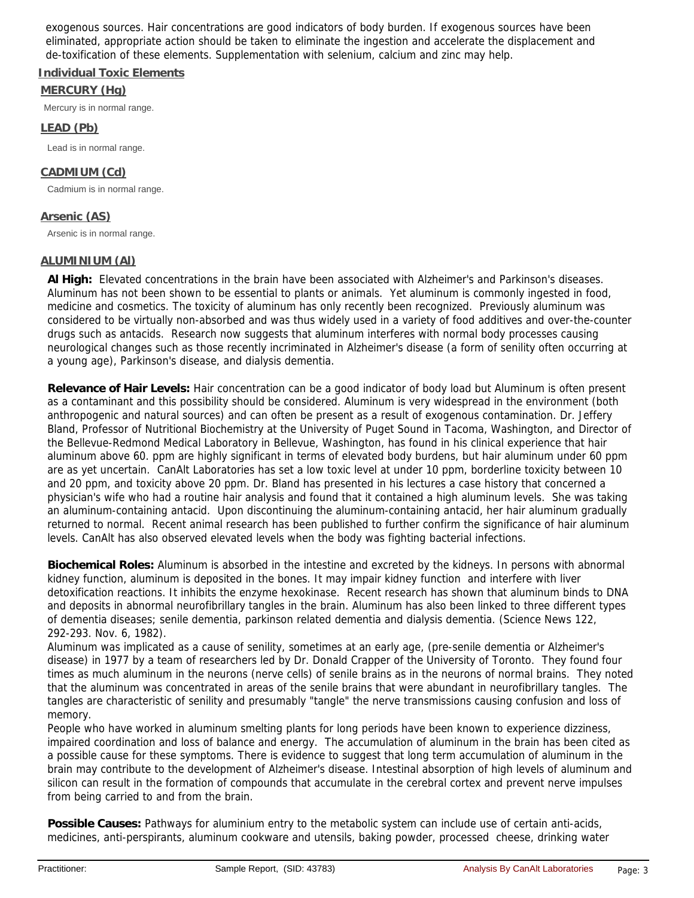exogenous sources. Hair concentrations are good indicators of body burden. If exogenous sources have been eliminated, appropriate action should be taken to eliminate the ingestion and accelerate the displacement and de-toxification of these elements. Supplementation with selenium, calcium and zinc may help.

# **Individual Toxic Elements**

### **MERCURY (Hg)**

Mercury is in normal range.

## **LEAD (Pb)**

Lead is in normal range.

# **CADMIUM (Cd)**

Cadmium is in normal range.

# **Arsenic (AS)**

Arsenic is in normal range.

## **ALUMINIUM (Al)**

**Al High:** Elevated concentrations in the brain have been associated with Alzheimer's and Parkinson's diseases. Aluminum has not been shown to be essential to plants or animals. Yet aluminum is commonly ingested in food, medicine and cosmetics. The toxicity of aluminum has only recently been recognized. Previously aluminum was considered to be virtually non-absorbed and was thus widely used in a variety of food additives and over-the-counter drugs such as antacids. Research now suggests that aluminum interferes with normal body processes causing neurological changes such as those recently incriminated in Alzheimer's disease (a form of senility often occurring at a young age), Parkinson's disease, and dialysis dementia.

**Relevance of Hair Levels:** Hair concentration can be a good indicator of body load but Aluminum is often present as a contaminant and this possibility should be considered. Aluminum is very widespread in the environment (both anthropogenic and natural sources) and can often be present as a result of exogenous contamination. Dr. Jeffery Bland, Professor of Nutritional Biochemistry at the University of Puget Sound in Tacoma, Washington, and Director of the Bellevue-Redmond Medical Laboratory in Bellevue, Washington, has found in his clinical experience that hair aluminum above 60. ppm are highly significant in terms of elevated body burdens, but hair aluminum under 60 ppm are as yet uncertain. CanAlt Laboratories has set a low toxic level at under 10 ppm, borderline toxicity between 10 and 20 ppm, and toxicity above 20 ppm. Dr. Bland has presented in his lectures a case history that concerned a physician's wife who had a routine hair analysis and found that it contained a high aluminum levels. She was taking an aluminum-containing antacid. Upon discontinuing the aluminum-containing antacid, her hair aluminum gradually returned to normal. Recent animal research has been published to further confirm the significance of hair aluminum levels. CanAlt has also observed elevated levels when the body was fighting bacterial infections.

**Biochemical Roles:** Aluminum is absorbed in the intestine and excreted by the kidneys. In persons with abnormal kidney function, aluminum is deposited in the bones. It may impair kidney function and interfere with liver detoxification reactions. It inhibits the enzyme hexokinase. Recent research has shown that aluminum binds to DNA and deposits in abnormal neurofibrillary tangles in the brain. Aluminum has also been linked to three different types of dementia diseases; senile dementia, parkinson related dementia and dialysis dementia. (Science News 122, 292-293. Nov. 6, 1982).

Aluminum was implicated as a cause of senility, sometimes at an early age, (pre-senile dementia or Alzheimer's disease) in 1977 by a team of researchers led by Dr. Donald Crapper of the University of Toronto. They found four times as much aluminum in the neurons (nerve cells) of senile brains as in the neurons of normal brains. They noted that the aluminum was concentrated in areas of the senile brains that were abundant in neurofibrillary tangles. The tangles are characteristic of senility and presumably "tangle" the nerve transmissions causing confusion and loss of memory.

People who have worked in aluminum smelting plants for long periods have been known to experience dizziness, impaired coordination and loss of balance and energy. The accumulation of aluminum in the brain has been cited as a possible cause for these symptoms. There is evidence to suggest that long term accumulation of aluminum in the brain may contribute to the development of Alzheimer's disease. Intestinal absorption of high levels of aluminum and silicon can result in the formation of compounds that accumulate in the cerebral cortex and prevent nerve impulses from being carried to and from the brain.

**Possible Causes:** Pathways for aluminium entry to the metabolic system can include use of certain anti-acids, medicines, anti-perspirants, aluminum cookware and utensils, baking powder, processed cheese, drinking water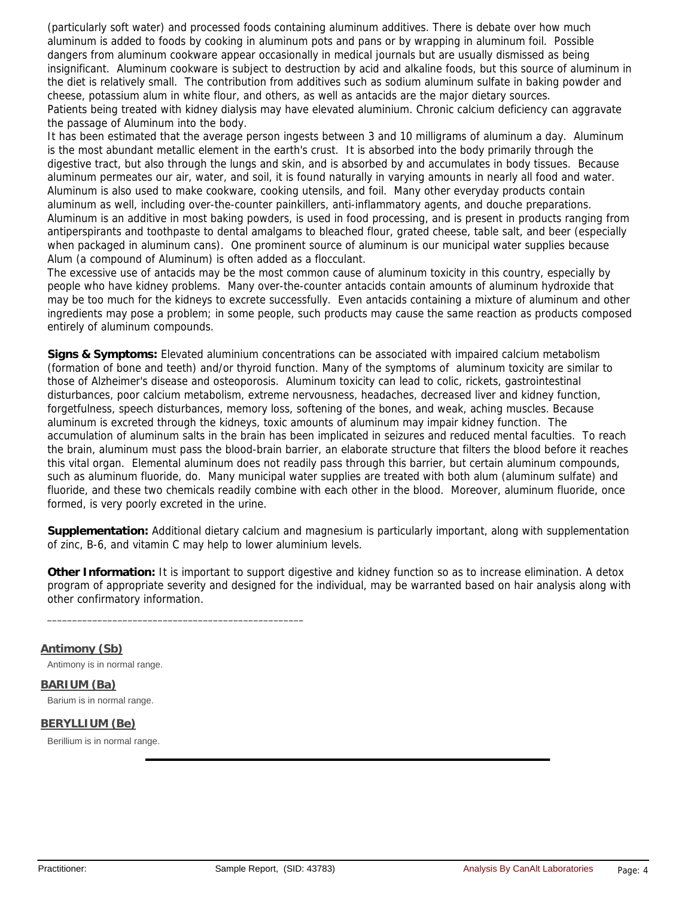(particularly soft water) and processed foods containing aluminum additives. There is debate over how much aluminum is added to foods by cooking in aluminum pots and pans or by wrapping in aluminum foil. Possible dangers from aluminum cookware appear occasionally in medical journals but are usually dismissed as being insignificant. Aluminum cookware is subject to destruction by acid and alkaline foods, but this source of aluminum in the diet is relatively small. The contribution from additives such as sodium aluminum sulfate in baking powder and cheese, potassium alum in white flour, and others, as well as antacids are the major dietary sources. Patients being treated with kidney dialysis may have elevated aluminium. Chronic calcium deficiency can aggravate the passage of Aluminum into the body.

It has been estimated that the average person ingests between 3 and 10 milligrams of aluminum a day. Aluminum is the most abundant metallic element in the earth's crust. It is absorbed into the body primarily through the digestive tract, but also through the lungs and skin, and is absorbed by and accumulates in body tissues. Because aluminum permeates our air, water, and soil, it is found naturally in varying amounts in nearly all food and water. Aluminum is also used to make cookware, cooking utensils, and foil. Many other everyday products contain aluminum as well, including over-the-counter painkillers, anti-inflammatory agents, and douche preparations. Aluminum is an additive in most baking powders, is used in food processing, and is present in products ranging from antiperspirants and toothpaste to dental amalgams to bleached flour, grated cheese, table salt, and beer (especially when packaged in aluminum cans). One prominent source of aluminum is our municipal water supplies because Alum (a compound of Aluminum) is often added as a flocculant.

The excessive use of antacids may be the most common cause of aluminum toxicity in this country, especially by people who have kidney problems. Many over-the-counter antacids contain amounts of aluminum hydroxide that may be too much for the kidneys to excrete successfully. Even antacids containing a mixture of aluminum and other ingredients may pose a problem; in some people, such products may cause the same reaction as products composed entirely of aluminum compounds.

**Signs & Symptoms:** Elevated aluminium concentrations can be associated with impaired calcium metabolism (formation of bone and teeth) and/or thyroid function. Many of the symptoms of aluminum toxicity are similar to those of Alzheimer's disease and osteoporosis. Aluminum toxicity can lead to colic, rickets, gastrointestinal disturbances, poor calcium metabolism, extreme nervousness, headaches, decreased liver and kidney function, forgetfulness, speech disturbances, memory loss, softening of the bones, and weak, aching muscles. Because aluminum is excreted through the kidneys, toxic amounts of aluminum may impair kidney function. The accumulation of aluminum salts in the brain has been implicated in seizures and reduced mental faculties. To reach the brain, aluminum must pass the blood-brain barrier, an elaborate structure that filters the blood before it reaches this vital organ. Elemental aluminum does not readily pass through this barrier, but certain aluminum compounds, such as aluminum fluoride, do. Many municipal water supplies are treated with both alum (aluminum sulfate) and fluoride, and these two chemicals readily combine with each other in the blood. Moreover, aluminum fluoride, once formed, is very poorly excreted in the urine.

**Supplementation:** Additional dietary calcium and magnesium is particularly important, along with supplementation of zinc, B-6, and vitamin C may help to lower aluminium levels.

**Other Information:** It is important to support digestive and kidney function so as to increase elimination. A detox program of appropriate severity and designed for the individual, may be warranted based on hair analysis along with other confirmatory information.

**Antimony (Sb)**

Antimony is in normal range.

\_\_\_\_\_\_\_\_\_\_\_\_\_\_\_\_\_\_\_\_\_\_\_\_\_\_\_\_\_\_\_\_\_\_\_\_\_\_\_\_\_\_\_\_\_\_\_\_\_\_\_

**BARIUM (Ba)** Barium is in normal range.

### **BERYLLIUM (Be)**

Berillium is in normal range.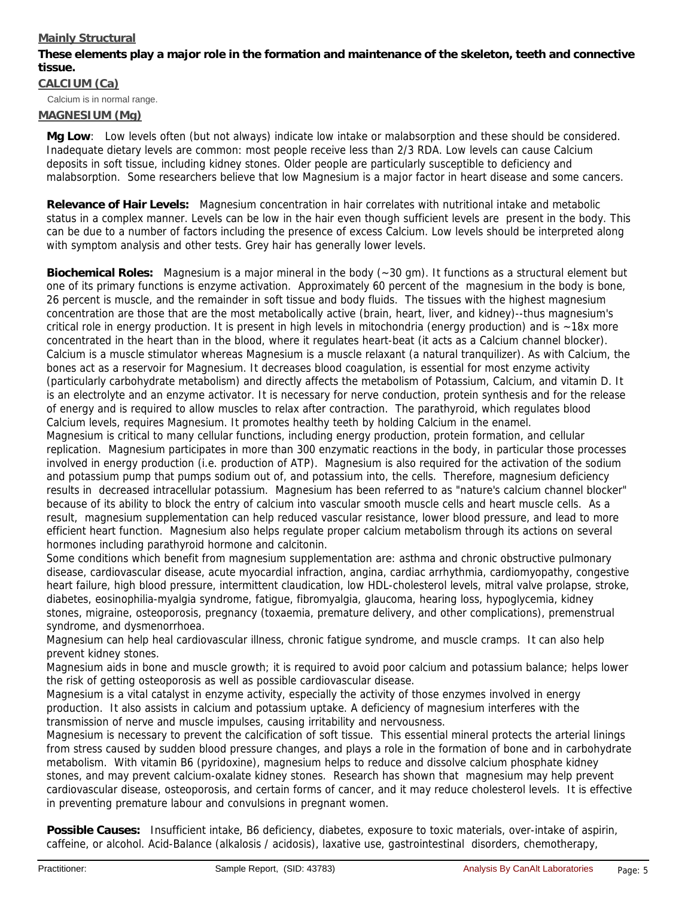# **Mainly Structural**

**These elements play a major role in the formation and maintenance of the skeleton, teeth and connective tissue.**

Calcium is in normal range. **CALCIUM (Ca)**

# **MAGNESIUM (Mg)**

**Mg Low**: Low levels often (but not always) indicate low intake or malabsorption and these should be considered. Inadequate dietary levels are common: most people receive less than 2/3 RDA. Low levels can cause Calcium deposits in soft tissue, including kidney stones. Older people are particularly susceptible to deficiency and malabsorption. Some researchers believe that low Magnesium is a major factor in heart disease and some cancers.

**Relevance of Hair Levels:** Magnesium concentration in hair correlates with nutritional intake and metabolic status in a complex manner. Levels can be low in the hair even though sufficient levels are present in the body. This can be due to a number of factors including the presence of excess Calcium. Low levels should be interpreted along with symptom analysis and other tests. Grey hair has generally lower levels.

**Biochemical Roles:** Magnesium is a major mineral in the body (~30 gm). It functions as a structural element but one of its primary functions is enzyme activation. Approximately 60 percent of the magnesium in the body is bone, 26 percent is muscle, and the remainder in soft tissue and body fluids. The tissues with the highest magnesium concentration are those that are the most metabolically active (brain, heart, liver, and kidney)--thus magnesium's critical role in energy production. It is present in high levels in mitochondria (energy production) and is  $\sim$ 18x more concentrated in the heart than in the blood, where it regulates heart-beat (it acts as a Calcium channel blocker). Calcium is a muscle stimulator whereas Magnesium is a muscle relaxant (a natural tranquilizer). As with Calcium, the bones act as a reservoir for Magnesium. It decreases blood coagulation, is essential for most enzyme activity (particularly carbohydrate metabolism) and directly affects the metabolism of Potassium, Calcium, and vitamin D. It is an electrolyte and an enzyme activator. It is necessary for nerve conduction, protein synthesis and for the release of energy and is required to allow muscles to relax after contraction. The parathyroid, which regulates blood Calcium levels, requires Magnesium. It promotes healthy teeth by holding Calcium in the enamel.

Magnesium is critical to many cellular functions, including energy production, protein formation, and cellular replication. Magnesium participates in more than 300 enzymatic reactions in the body, in particular those processes involved in energy production (i.e. production of ATP). Magnesium is also required for the activation of the sodium and potassium pump that pumps sodium out of, and potassium into, the cells. Therefore, magnesium deficiency results in decreased intracellular potassium. Magnesium has been referred to as "nature's calcium channel blocker" because of its ability to block the entry of calcium into vascular smooth muscle cells and heart muscle cells. As a result, magnesium supplementation can help reduced vascular resistance, lower blood pressure, and lead to more efficient heart function. Magnesium also helps regulate proper calcium metabolism through its actions on several hormones including parathyroid hormone and calcitonin.

Some conditions which benefit from magnesium supplementation are: asthma and chronic obstructive pulmonary disease, cardiovascular disease, acute myocardial infraction, angina, cardiac arrhythmia, cardiomyopathy, congestive heart failure, high blood pressure, intermittent claudication, low HDL-cholesterol levels, mitral valve prolapse, stroke, diabetes, eosinophilia-myalgia syndrome, fatigue, fibromyalgia, glaucoma, hearing loss, hypoglycemia, kidney stones, migraine, osteoporosis, pregnancy (toxaemia, premature delivery, and other complications), premenstrual syndrome, and dysmenorrhoea.

Magnesium can help heal cardiovascular illness, chronic fatigue syndrome, and muscle cramps. It can also help prevent kidney stones.

Magnesium aids in bone and muscle growth; it is required to avoid poor calcium and potassium balance; helps lower the risk of getting osteoporosis as well as possible cardiovascular disease.

Magnesium is a vital catalyst in enzyme activity, especially the activity of those enzymes involved in energy production. It also assists in calcium and potassium uptake. A deficiency of magnesium interferes with the transmission of nerve and muscle impulses, causing irritability and nervousness.

Magnesium is necessary to prevent the calcification of soft tissue. This essential mineral protects the arterial linings from stress caused by sudden blood pressure changes, and plays a role in the formation of bone and in carbohydrate metabolism. With vitamin B6 (pyridoxine), magnesium helps to reduce and dissolve calcium phosphate kidney stones, and may prevent calcium-oxalate kidney stones. Research has shown that magnesium may help prevent cardiovascular disease, osteoporosis, and certain forms of cancer, and it may reduce cholesterol levels. It is effective in preventing premature labour and convulsions in pregnant women.

**Possible Causes:** Insufficient intake, B6 deficiency, diabetes, exposure to toxic materials, over-intake of aspirin, caffeine, or alcohol. Acid-Balance (alkalosis / acidosis), laxative use, gastrointestinal disorders, chemotherapy,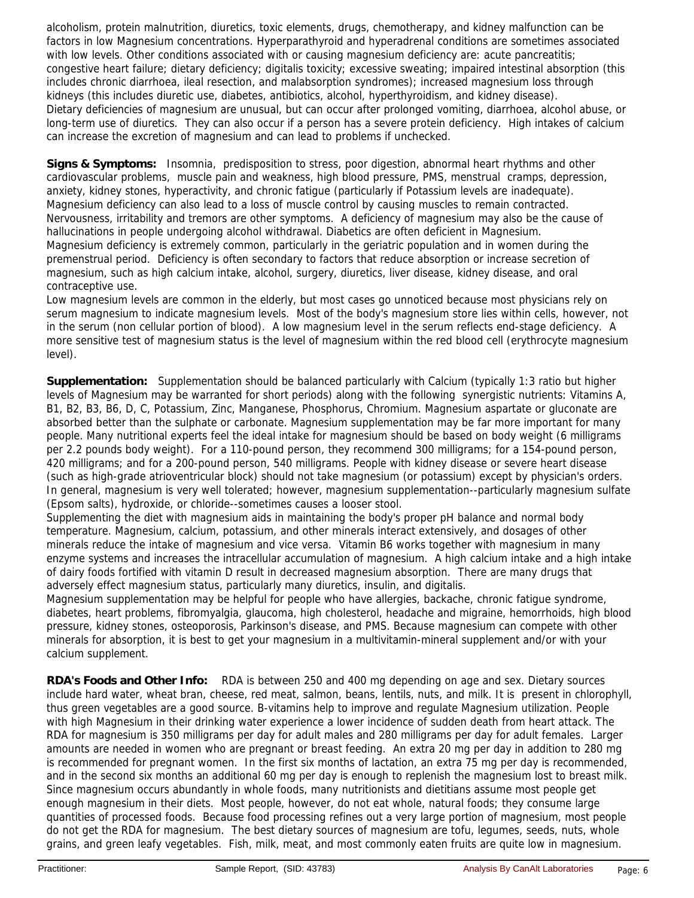alcoholism, protein malnutrition, diuretics, toxic elements, drugs, chemotherapy, and kidney malfunction can be factors in low Magnesium concentrations. Hyperparathyroid and hyperadrenal conditions are sometimes associated with low levels. Other conditions associated with or causing magnesium deficiency are: acute pancreatitis; congestive heart failure; dietary deficiency; digitalis toxicity; excessive sweating; impaired intestinal absorption (this includes chronic diarrhoea, ileal resection, and malabsorption syndromes); increased magnesium loss through kidneys (this includes diuretic use, diabetes, antibiotics, alcohol, hyperthyroidism, and kidney disease). Dietary deficiencies of magnesium are unusual, but can occur after prolonged vomiting, diarrhoea, alcohol abuse, or long-term use of diuretics. They can also occur if a person has a severe protein deficiency. High intakes of calcium can increase the excretion of magnesium and can lead to problems if unchecked.

**Signs & Symptoms:** Insomnia, predisposition to stress, poor digestion, abnormal heart rhythms and other cardiovascular problems, muscle pain and weakness, high blood pressure, PMS, menstrual cramps, depression, anxiety, kidney stones, hyperactivity, and chronic fatigue (particularly if Potassium levels are inadequate). Magnesium deficiency can also lead to a loss of muscle control by causing muscles to remain contracted. Nervousness, irritability and tremors are other symptoms. A deficiency of magnesium may also be the cause of hallucinations in people undergoing alcohol withdrawal. Diabetics are often deficient in Magnesium. Magnesium deficiency is extremely common, particularly in the geriatric population and in women during the premenstrual period. Deficiency is often secondary to factors that reduce absorption or increase secretion of magnesium, such as high calcium intake, alcohol, surgery, diuretics, liver disease, kidney disease, and oral contraceptive use.

Low magnesium levels are common in the elderly, but most cases go unnoticed because most physicians rely on serum magnesium to indicate magnesium levels. Most of the body's magnesium store lies within cells, however, not in the serum (non cellular portion of blood). A low magnesium level in the serum reflects end-stage deficiency. A more sensitive test of magnesium status is the level of magnesium within the red blood cell (erythrocyte magnesium level).

**Supplementation:** Supplementation should be balanced particularly with Calcium (typically 1:3 ratio but higher levels of Magnesium may be warranted for short periods) along with the following synergistic nutrients: Vitamins A, B1, B2, B3, B6, D, C, Potassium, Zinc, Manganese, Phosphorus, Chromium. Magnesium aspartate or gluconate are absorbed better than the sulphate or carbonate. Magnesium supplementation may be far more important for many people. Many nutritional experts feel the ideal intake for magnesium should be based on body weight (6 milligrams per 2.2 pounds body weight). For a 110-pound person, they recommend 300 milligrams; for a 154-pound person, 420 milligrams; and for a 200-pound person, 540 milligrams. People with kidney disease or severe heart disease (such as high-grade atrioventricular block) should not take magnesium (or potassium) except by physician's orders. In general, magnesium is very well tolerated; however, magnesium supplementation--particularly magnesium sulfate (Epsom salts), hydroxide, or chloride--sometimes causes a looser stool.

Supplementing the diet with magnesium aids in maintaining the body's proper pH balance and normal body temperature. Magnesium, calcium, potassium, and other minerals interact extensively, and dosages of other minerals reduce the intake of magnesium and vice versa. Vitamin B6 works together with magnesium in many enzyme systems and increases the intracellular accumulation of magnesium. A high calcium intake and a high intake of dairy foods fortified with vitamin D result in decreased magnesium absorption. There are many drugs that adversely effect magnesium status, particularly many diuretics, insulin, and digitalis.

Magnesium supplementation may be helpful for people who have allergies, backache, chronic fatigue syndrome, diabetes, heart problems, fibromyalgia, glaucoma, high cholesterol, headache and migraine, hemorrhoids, high blood pressure, kidney stones, osteoporosis, Parkinson's disease, and PMS. Because magnesium can compete with other minerals for absorption, it is best to get your magnesium in a multivitamin-mineral supplement and/or with your calcium supplement.

**RDA's Foods and Other Info:** RDA is between 250 and 400 mg depending on age and sex. Dietary sources include hard water, wheat bran, cheese, red meat, salmon, beans, lentils, nuts, and milk. It is present in chlorophyll, thus green vegetables are a good source. B-vitamins help to improve and regulate Magnesium utilization. People with high Magnesium in their drinking water experience a lower incidence of sudden death from heart attack. The RDA for magnesium is 350 milligrams per day for adult males and 280 milligrams per day for adult females. Larger amounts are needed in women who are pregnant or breast feeding. An extra 20 mg per day in addition to 280 mg is recommended for pregnant women. In the first six months of lactation, an extra 75 mg per day is recommended, and in the second six months an additional 60 mg per day is enough to replenish the magnesium lost to breast milk. Since magnesium occurs abundantly in whole foods, many nutritionists and dietitians assume most people get enough magnesium in their diets. Most people, however, do not eat whole, natural foods; they consume large quantities of processed foods. Because food processing refines out a very large portion of magnesium, most people do not get the RDA for magnesium. The best dietary sources of magnesium are tofu, legumes, seeds, nuts, whole grains, and green leafy vegetables. Fish, milk, meat, and most commonly eaten fruits are quite low in magnesium.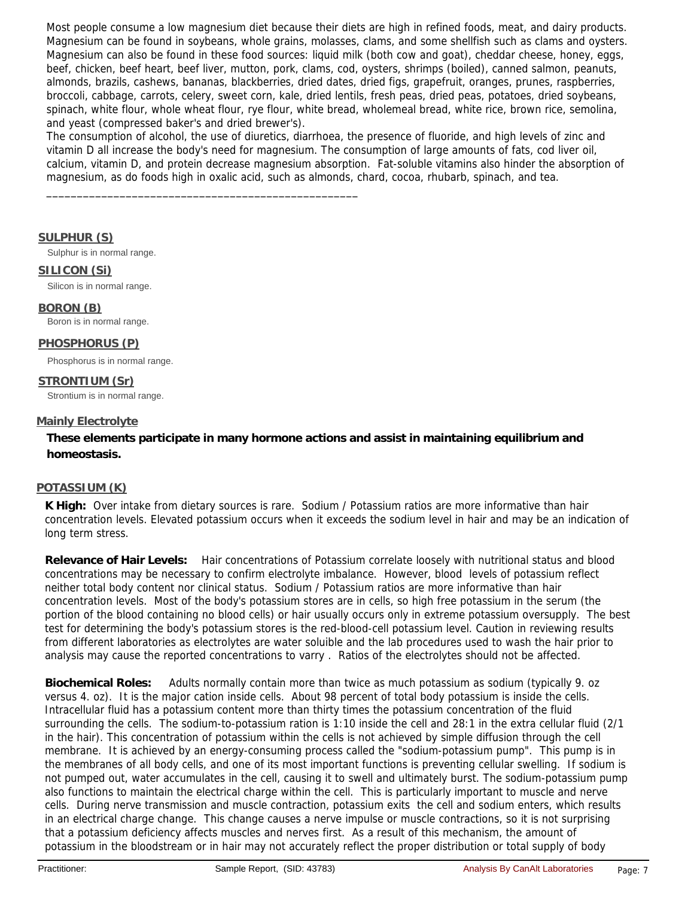Most people consume a low magnesium diet because their diets are high in refined foods, meat, and dairy products. Magnesium can be found in soybeans, whole grains, molasses, clams, and some shellfish such as clams and oysters. Magnesium can also be found in these food sources: liquid milk (both cow and goat), cheddar cheese, honey, eggs, beef, chicken, beef heart, beef liver, mutton, pork, clams, cod, oysters, shrimps (boiled), canned salmon, peanuts, almonds, brazils, cashews, bananas, blackberries, dried dates, dried figs, grapefruit, oranges, prunes, raspberries, broccoli, cabbage, carrots, celery, sweet corn, kale, dried lentils, fresh peas, dried peas, potatoes, dried soybeans, spinach, white flour, whole wheat flour, rye flour, white bread, wholemeal bread, white rice, brown rice, semolina, and yeast (compressed baker's and dried brewer's).

The consumption of alcohol, the use of diuretics, diarrhoea, the presence of fluoride, and high levels of zinc and vitamin D all increase the body's need for magnesium. The consumption of large amounts of fats, cod liver oil, calcium, vitamin D, and protein decrease magnesium absorption. Fat-soluble vitamins also hinder the absorption of magnesium, as do foods high in oxalic acid, such as almonds, chard, cocoa, rhubarb, spinach, and tea.

### **SULPHUR (S)**

Sulphur is in normal range.

\_\_\_\_\_\_\_\_\_\_\_\_\_\_\_\_\_\_\_\_\_\_\_\_\_\_\_\_\_\_\_\_\_\_\_\_\_\_\_\_\_\_\_\_\_\_\_\_\_\_\_

#### **SILICON (Si)**

Silicon is in normal range.

### **BORON (B)**

Boron is in normal range.

### **PHOSPHORUS (P)**

Phosphorus is in normal range.

#### **STRONTIUM (Sr)** Strontium is in normal range.

#### **Mainly Electrolyte**

**These elements participate in many hormone actions and assist in maintaining equilibrium and homeostasis.**

### **POTASSIUM (K)**

**K High:** Over intake from dietary sources is rare. Sodium / Potassium ratios are more informative than hair concentration levels. Elevated potassium occurs when it exceeds the sodium level in hair and may be an indication of long term stress.

**Relevance of Hair Levels:** Hair concentrations of Potassium correlate loosely with nutritional status and blood concentrations may be necessary to confirm electrolyte imbalance. However, blood levels of potassium reflect neither total body content nor clinical status. Sodium / Potassium ratios are more informative than hair concentration levels. Most of the body's potassium stores are in cells, so high free potassium in the serum (the portion of the blood containing no blood cells) or hair usually occurs only in extreme potassium oversupply. The best test for determining the body's potassium stores is the red-blood-cell potassium level. Caution in reviewing results from different laboratories as electrolytes are water soluible and the lab procedures used to wash the hair prior to analysis may cause the reported concentrations to varry . Ratios of the electrolytes should not be affected.

**Biochemical Roles:** Adults normally contain more than twice as much potassium as sodium (typically 9. oz versus 4. oz). It is the major cation inside cells. About 98 percent of total body potassium is inside the cells. Intracellular fluid has a potassium content more than thirty times the potassium concentration of the fluid surrounding the cells. The sodium-to-potassium ration is 1:10 inside the cell and 28:1 in the extra cellular fluid (2/1 in the hair). This concentration of potassium within the cells is not achieved by simple diffusion through the cell membrane. It is achieved by an energy-consuming process called the "sodium-potassium pump". This pump is in the membranes of all body cells, and one of its most important functions is preventing cellular swelling. If sodium is not pumped out, water accumulates in the cell, causing it to swell and ultimately burst. The sodium-potassium pump also functions to maintain the electrical charge within the cell. This is particularly important to muscle and nerve cells. During nerve transmission and muscle contraction, potassium exits the cell and sodium enters, which results in an electrical charge change. This change causes a nerve impulse or muscle contractions, so it is not surprising that a potassium deficiency affects muscles and nerves first. As a result of this mechanism, the amount of potassium in the bloodstream or in hair may not accurately reflect the proper distribution or total supply of body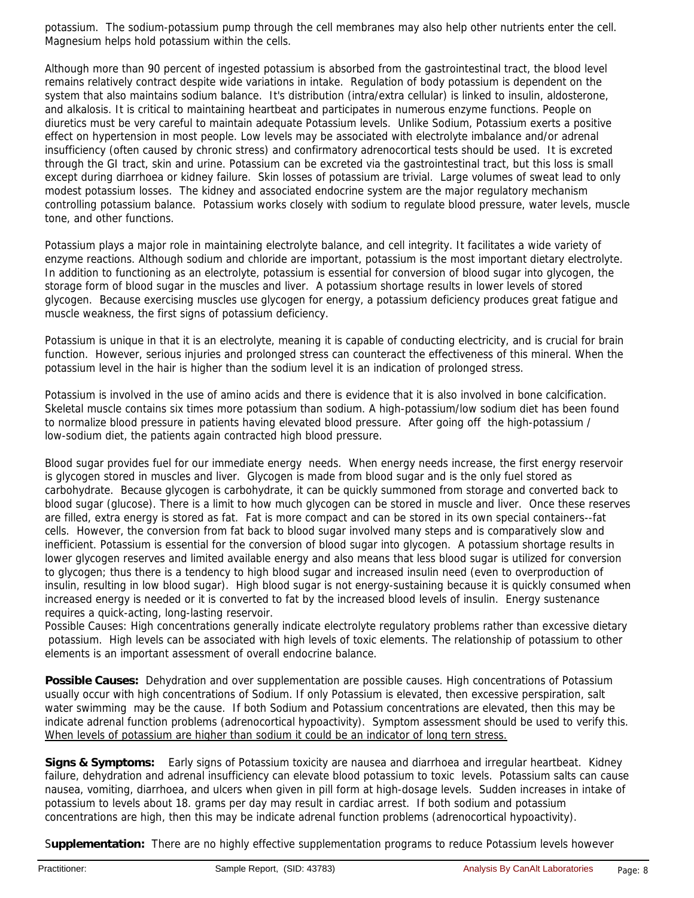potassium. The sodium-potassium pump through the cell membranes may also help other nutrients enter the cell. Magnesium helps hold potassium within the cells.

Although more than 90 percent of ingested potassium is absorbed from the gastrointestinal tract, the blood level remains relatively contract despite wide variations in intake. Regulation of body potassium is dependent on the system that also maintains sodium balance. It's distribution (intra/extra cellular) is linked to insulin, aldosterone, and alkalosis. It is critical to maintaining heartbeat and participates in numerous enzyme functions. People on diuretics must be very careful to maintain adequate Potassium levels. Unlike Sodium, Potassium exerts a positive effect on hypertension in most people. Low levels may be associated with electrolyte imbalance and/or adrenal insufficiency (often caused by chronic stress) and confirmatory adrenocortical tests should be used. It is excreted through the GI tract, skin and urine. Potassium can be excreted via the gastrointestinal tract, but this loss is small except during diarrhoea or kidney failure. Skin losses of potassium are trivial. Large volumes of sweat lead to only modest potassium losses. The kidney and associated endocrine system are the major regulatory mechanism controlling potassium balance. Potassium works closely with sodium to regulate blood pressure, water levels, muscle tone, and other functions.

Potassium plays a major role in maintaining electrolyte balance, and cell integrity. It facilitates a wide variety of enzyme reactions. Although sodium and chloride are important, potassium is the most important dietary electrolyte. In addition to functioning as an electrolyte, potassium is essential for conversion of blood sugar into glycogen, the storage form of blood sugar in the muscles and liver. A potassium shortage results in lower levels of stored glycogen. Because exercising muscles use glycogen for energy, a potassium deficiency produces great fatigue and muscle weakness, the first signs of potassium deficiency.

Potassium is unique in that it is an electrolyte, meaning it is capable of conducting electricity, and is crucial for brain function. However, serious injuries and prolonged stress can counteract the effectiveness of this mineral. When the potassium level in the hair is higher than the sodium level it is an indication of prolonged stress.

Potassium is involved in the use of amino acids and there is evidence that it is also involved in bone calcification. Skeletal muscle contains six times more potassium than sodium. A high-potassium/low sodium diet has been found to normalize blood pressure in patients having elevated blood pressure. After going off the high-potassium / low-sodium diet, the patients again contracted high blood pressure.

Blood sugar provides fuel for our immediate energy needs. When energy needs increase, the first energy reservoir is glycogen stored in muscles and liver. Glycogen is made from blood sugar and is the only fuel stored as carbohydrate. Because glycogen is carbohydrate, it can be quickly summoned from storage and converted back to blood sugar (glucose). There is a limit to how much glycogen can be stored in muscle and liver. Once these reserves are filled, extra energy is stored as fat. Fat is more compact and can be stored in its own special containers--fat cells. However, the conversion from fat back to blood sugar involved many steps and is comparatively slow and inefficient. Potassium is essential for the conversion of blood sugar into glycogen. A potassium shortage results in lower glycogen reserves and limited available energy and also means that less blood sugar is utilized for conversion to glycogen; thus there is a tendency to high blood sugar and increased insulin need (even to overproduction of insulin, resulting in low blood sugar). High blood sugar is not energy-sustaining because it is quickly consumed when increased energy is needed or it is converted to fat by the increased blood levels of insulin. Energy sustenance requires a quick-acting, long-lasting reservoir.

Possible Causes: High concentrations generally indicate electrolyte regulatory problems rather than excessive dietary potassium. High levels can be associated with high levels of toxic elements. The relationship of potassium to other elements is an important assessment of overall endocrine balance.

**Possible Causes:** Dehydration and over supplementation are possible causes. High concentrations of Potassium usually occur with high concentrations of Sodium. If only Potassium is elevated, then excessive perspiration, salt water swimming may be the cause. If both Sodium and Potassium concentrations are elevated, then this may be indicate adrenal function problems (adrenocortical hypoactivity). Symptom assessment should be used to verify this. When levels of potassium are higher than sodium it could be an indicator of long tern stress.

**Signs & Symptoms:** Early signs of Potassium toxicity are nausea and diarrhoea and irregular heartbeat. Kidney failure, dehydration and adrenal insufficiency can elevate blood potassium to toxic levels. Potassium salts can cause nausea, vomiting, diarrhoea, and ulcers when given in pill form at high-dosage levels. Sudden increases in intake of potassium to levels about 18. grams per day may result in cardiac arrest. If both sodium and potassium concentrations are high, then this may be indicate adrenal function problems (adrenocortical hypoactivity).

S**upplementation:** There are no highly effective supplementation programs to reduce Potassium levels however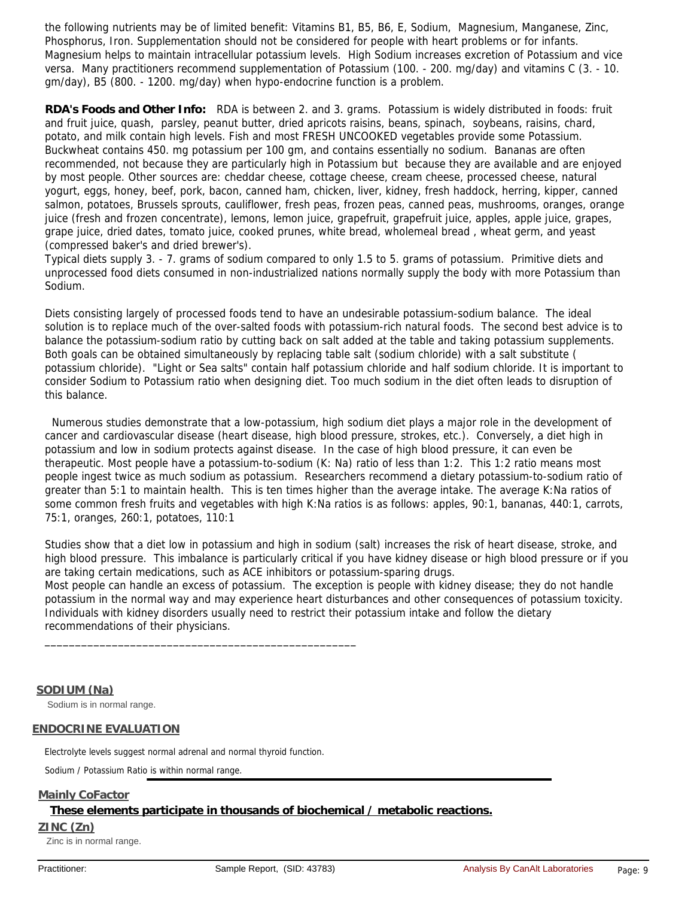the following nutrients may be of limited benefit: Vitamins B1, B5, B6, E, Sodium, Magnesium, Manganese, Zinc, Phosphorus, Iron. Supplementation should not be considered for people with heart problems or for infants. Magnesium helps to maintain intracellular potassium levels. High Sodium increases excretion of Potassium and vice versa. Many practitioners recommend supplementation of Potassium (100. - 200. mg/day) and vitamins C (3. - 10. gm/day), B5 (800. - 1200. mg/day) when hypo-endocrine function is a problem.

**RDA's Foods and Other Info:** RDA is between 2. and 3. grams. Potassium is widely distributed in foods: fruit and fruit juice, quash, parsley, peanut butter, dried apricots raisins, beans, spinach, soybeans, raisins, chard, potato, and milk contain high levels. Fish and most FRESH UNCOOKED vegetables provide some Potassium. Buckwheat contains 450. mg potassium per 100 gm, and contains essentially no sodium. Bananas are often recommended, not because they are particularly high in Potassium but because they are available and are enjoyed by most people. Other sources are: cheddar cheese, cottage cheese, cream cheese, processed cheese, natural yogurt, eggs, honey, beef, pork, bacon, canned ham, chicken, liver, kidney, fresh haddock, herring, kipper, canned salmon, potatoes, Brussels sprouts, cauliflower, fresh peas, frozen peas, canned peas, mushrooms, oranges, orange juice (fresh and frozen concentrate), lemons, lemon juice, grapefruit, grapefruit juice, apples, apple juice, grapes, grape juice, dried dates, tomato juice, cooked prunes, white bread, wholemeal bread , wheat germ, and yeast (compressed baker's and dried brewer's).

Typical diets supply 3. - 7. grams of sodium compared to only 1.5 to 5. grams of potassium. Primitive diets and unprocessed food diets consumed in non-industrialized nations normally supply the body with more Potassium than Sodium.

Diets consisting largely of processed foods tend to have an undesirable potassium-sodium balance. The ideal solution is to replace much of the over-salted foods with potassium-rich natural foods. The second best advice is to balance the potassium-sodium ratio by cutting back on salt added at the table and taking potassium supplements. Both goals can be obtained simultaneously by replacing table salt (sodium chloride) with a salt substitute ( potassium chloride). "Light or Sea salts" contain half potassium chloride and half sodium chloride. It is important to consider Sodium to Potassium ratio when designing diet. Too much sodium in the diet often leads to disruption of this balance.

Numerous studies demonstrate that a low-potassium, high sodium diet plays a major role in the development of cancer and cardiovascular disease (heart disease, high blood pressure, strokes, etc.). Conversely, a diet high in potassium and low in sodium protects against disease. In the case of high blood pressure, it can even be therapeutic. Most people have a potassium-to-sodium (K: Na) ratio of less than 1:2. This 1:2 ratio means most people ingest twice as much sodium as potassium. Researchers recommend a dietary potassium-to-sodium ratio of greater than 5:1 to maintain health. This is ten times higher than the average intake. The average K:Na ratios of some common fresh fruits and vegetables with high K:Na ratios is as follows: apples, 90:1, bananas, 440:1, carrots, 75:1, oranges, 260:1, potatoes, 110:1

Studies show that a diet low in potassium and high in sodium (salt) increases the risk of heart disease, stroke, and high blood pressure. This imbalance is particularly critical if you have kidney disease or high blood pressure or if you are taking certain medications, such as ACE inhibitors or potassium-sparing drugs.

Most people can handle an excess of potassium. The exception is people with kidney disease; they do not handle potassium in the normal way and may experience heart disturbances and other consequences of potassium toxicity. Individuals with kidney disorders usually need to restrict their potassium intake and follow the dietary recommendations of their physicians.

**SODIUM (Na)**

Sodium is in normal range.

### **ENDOCRINE EVALUATION**

Electrolyte levels suggest normal adrenal and normal thyroid function.

\_\_\_\_\_\_\_\_\_\_\_\_\_\_\_\_\_\_\_\_\_\_\_\_\_\_\_\_\_\_\_\_\_\_\_\_\_\_\_\_\_\_\_\_\_\_\_\_\_\_\_

Sodium / Potassium Ratio is within normal range.

### **Mainly CoFactor**

**These elements participate in thousands of biochemical / metabolic reactions.**

#### **ZINC (Zn)**

Zinc is in normal range.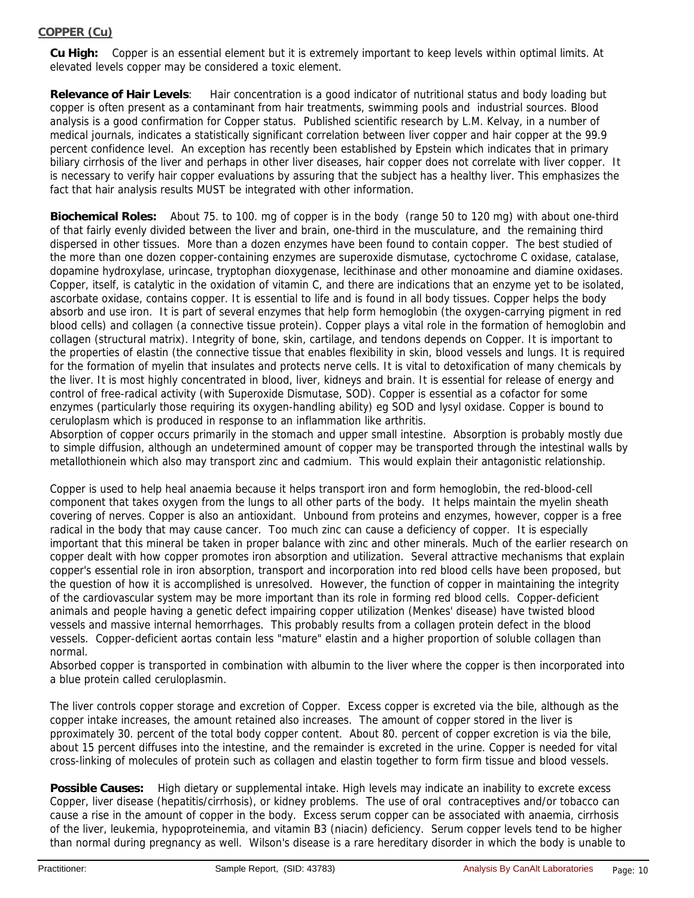### **COPPER (Cu)**

**Cu High:** Copper is an essential element but it is extremely important to keep levels within optimal limits. At elevated levels copper may be considered a toxic element.

**Relevance of Hair Levels**: Hair concentration is a good indicator of nutritional status and body loading but copper is often present as a contaminant from hair treatments, swimming pools and industrial sources. Blood analysis is a good confirmation for Copper status. Published scientific research by L.M. Kelvay, in a number of medical journals, indicates a statistically significant correlation between liver copper and hair copper at the 99.9 percent confidence level. An exception has recently been established by Epstein which indicates that in primary biliary cirrhosis of the liver and perhaps in other liver diseases, hair copper does not correlate with liver copper. It is necessary to verify hair copper evaluations by assuring that the subject has a healthy liver. This emphasizes the fact that hair analysis results MUST be integrated with other information.

**Biochemical Roles:** About 75. to 100. mg of copper is in the body (range 50 to 120 mg) with about one-third of that fairly evenly divided between the liver and brain, one-third in the musculature, and the remaining third dispersed in other tissues. More than a dozen enzymes have been found to contain copper. The best studied of the more than one dozen copper-containing enzymes are superoxide dismutase, cyctochrome C oxidase, catalase, dopamine hydroxylase, urincase, tryptophan dioxygenase, lecithinase and other monoamine and diamine oxidases. Copper, itself, is catalytic in the oxidation of vitamin C, and there are indications that an enzyme yet to be isolated, ascorbate oxidase, contains copper. It is essential to life and is found in all body tissues. Copper helps the body absorb and use iron. It is part of several enzymes that help form hemoglobin (the oxygen-carrying pigment in red blood cells) and collagen (a connective tissue protein). Copper plays a vital role in the formation of hemoglobin and collagen (structural matrix). Integrity of bone, skin, cartilage, and tendons depends on Copper. It is important to the properties of elastin (the connective tissue that enables flexibility in skin, blood vessels and lungs. It is required for the formation of myelin that insulates and protects nerve cells. It is vital to detoxification of many chemicals by the liver. It is most highly concentrated in blood, liver, kidneys and brain. It is essential for release of energy and control of free-radical activity (with Superoxide Dismutase, SOD). Copper is essential as a cofactor for some enzymes (particularly those requiring its oxygen-handling ability) eg SOD and lysyl oxidase. Copper is bound to ceruloplasm which is produced in response to an inflammation like arthritis.

Absorption of copper occurs primarily in the stomach and upper small intestine. Absorption is probably mostly due to simple diffusion, although an undetermined amount of copper may be transported through the intestinal walls by metallothionein which also may transport zinc and cadmium. This would explain their antagonistic relationship.

Copper is used to help heal anaemia because it helps transport iron and form hemoglobin, the red-blood-cell component that takes oxygen from the lungs to all other parts of the body. It helps maintain the myelin sheath covering of nerves. Copper is also an antioxidant. Unbound from proteins and enzymes, however, copper is a free radical in the body that may cause cancer. Too much zinc can cause a deficiency of copper. It is especially important that this mineral be taken in proper balance with zinc and other minerals. Much of the earlier research on copper dealt with how copper promotes iron absorption and utilization. Several attractive mechanisms that explain copper's essential role in iron absorption, transport and incorporation into red blood cells have been proposed, but the question of how it is accomplished is unresolved. However, the function of copper in maintaining the integrity of the cardiovascular system may be more important than its role in forming red blood cells. Copper-deficient animals and people having a genetic defect impairing copper utilization (Menkes' disease) have twisted blood vessels and massive internal hemorrhages. This probably results from a collagen protein defect in the blood vessels. Copper-deficient aortas contain less "mature" elastin and a higher proportion of soluble collagen than normal.

Absorbed copper is transported in combination with albumin to the liver where the copper is then incorporated into a blue protein called ceruloplasmin.

The liver controls copper storage and excretion of Copper. Excess copper is excreted via the bile, although as the copper intake increases, the amount retained also increases. The amount of copper stored in the liver is pproximately 30. percent of the total body copper content. About 80. percent of copper excretion is via the bile, about 15 percent diffuses into the intestine, and the remainder is excreted in the urine. Copper is needed for vital cross-linking of molecules of protein such as collagen and elastin together to form firm tissue and blood vessels.

**Possible Causes:** High dietary or supplemental intake. High levels may indicate an inability to excrete excess Copper, liver disease (hepatitis/cirrhosis), or kidney problems. The use of oral contraceptives and/or tobacco can cause a rise in the amount of copper in the body. Excess serum copper can be associated with anaemia, cirrhosis of the liver, leukemia, hypoproteinemia, and vitamin B3 (niacin) deficiency. Serum copper levels tend to be higher than normal during pregnancy as well. Wilson's disease is a rare hereditary disorder in which the body is unable to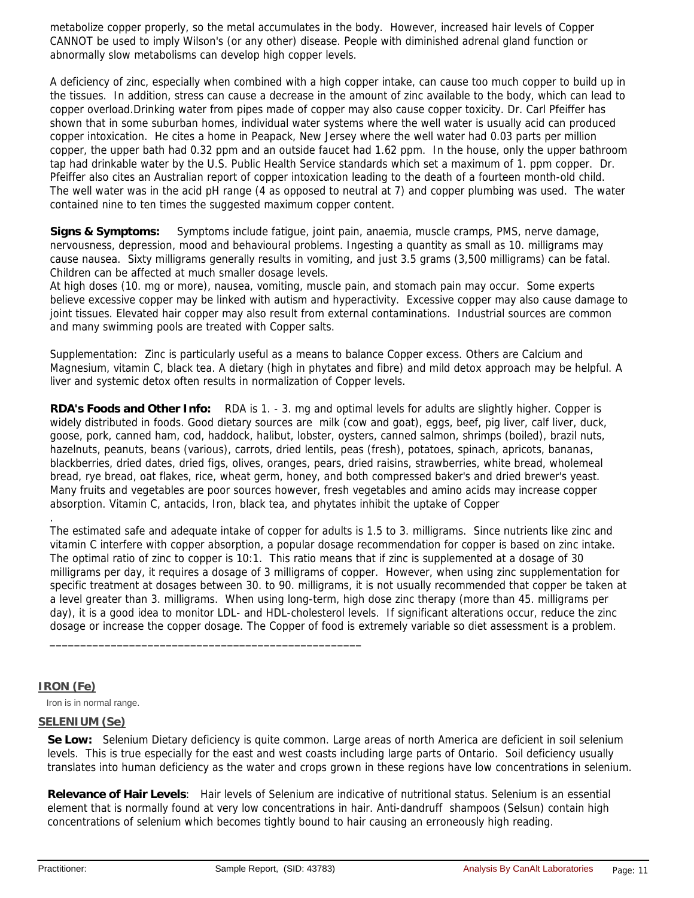metabolize copper properly, so the metal accumulates in the body. However, increased hair levels of Copper CANNOT be used to imply Wilson's (or any other) disease. People with diminished adrenal gland function or abnormally slow metabolisms can develop high copper levels.

A deficiency of zinc, especially when combined with a high copper intake, can cause too much copper to build up in the tissues. In addition, stress can cause a decrease in the amount of zinc available to the body, which can lead to copper overload.Drinking water from pipes made of copper may also cause copper toxicity. Dr. Carl Pfeiffer has shown that in some suburban homes, individual water systems where the well water is usually acid can produced copper intoxication. He cites a home in Peapack, New Jersey where the well water had 0.03 parts per million copper, the upper bath had 0.32 ppm and an outside faucet had 1.62 ppm. In the house, only the upper bathroom tap had drinkable water by the U.S. Public Health Service standards which set a maximum of 1. ppm copper. Dr. Pfeiffer also cites an Australian report of copper intoxication leading to the death of a fourteen month-old child. The well water was in the acid pH range (4 as opposed to neutral at 7) and copper plumbing was used. The water contained nine to ten times the suggested maximum copper content.

**Signs & Symptoms:** Symptoms include fatigue, joint pain, anaemia, muscle cramps, PMS, nerve damage, nervousness, depression, mood and behavioural problems. Ingesting a quantity as small as 10. milligrams may cause nausea. Sixty milligrams generally results in vomiting, and just 3.5 grams (3,500 milligrams) can be fatal. Children can be affected at much smaller dosage levels.

At high doses (10. mg or more), nausea, vomiting, muscle pain, and stomach pain may occur. Some experts believe excessive copper may be linked with autism and hyperactivity. Excessive copper may also cause damage to joint tissues. Elevated hair copper may also result from external contaminations. Industrial sources are common and many swimming pools are treated with Copper salts.

Supplementation: Zinc is particularly useful as a means to balance Copper excess. Others are Calcium and Magnesium, vitamin C, black tea. A dietary (high in phytates and fibre) and mild detox approach may be helpful. A liver and systemic detox often results in normalization of Copper levels.

**RDA's Foods and Other Info:** RDA is 1. - 3. mg and optimal levels for adults are slightly higher. Copper is widely distributed in foods. Good dietary sources are milk (cow and goat), eggs, beef, pig liver, calf liver, duck, goose, pork, canned ham, cod, haddock, halibut, lobster, oysters, canned salmon, shrimps (boiled), brazil nuts, hazelnuts, peanuts, beans (various), carrots, dried lentils, peas (fresh), potatoes, spinach, apricots, bananas, blackberries, dried dates, dried figs, olives, oranges, pears, dried raisins, strawberries, white bread, wholemeal bread, rye bread, oat flakes, rice, wheat germ, honey, and both compressed baker's and dried brewer's yeast. Many fruits and vegetables are poor sources however, fresh vegetables and amino acids may increase copper absorption. Vitamin C, antacids, Iron, black tea, and phytates inhibit the uptake of Copper

The estimated safe and adequate intake of copper for adults is 1.5 to 3. milligrams. Since nutrients like zinc and vitamin C interfere with copper absorption, a popular dosage recommendation for copper is based on zinc intake. The optimal ratio of zinc to copper is 10:1. This ratio means that if zinc is supplemented at a dosage of 30 milligrams per day, it requires a dosage of 3 milligrams of copper. However, when using zinc supplementation for specific treatment at dosages between 30. to 90. milligrams, it is not usually recommended that copper be taken at a level greater than 3. milligrams. When using long-term, high dose zinc therapy (more than 45. milligrams per day), it is a good idea to monitor LDL- and HDL-cholesterol levels. If significant alterations occur, reduce the zinc dosage or increase the copper dosage. The Copper of food is extremely variable so diet assessment is a problem.

### **IRON (Fe)**

.

Iron is in normal range.

## **SELENIUM (Se)**

**Se Low:** Selenium Dietary deficiency is quite common. Large areas of north America are deficient in soil selenium levels. This is true especially for the east and west coasts including large parts of Ontario. Soil deficiency usually translates into human deficiency as the water and crops grown in these regions have low concentrations in selenium.

**Relevance of Hair Levels**: Hair levels of Selenium are indicative of nutritional status. Selenium is an essential element that is normally found at very low concentrations in hair. Anti-dandruff shampoos (Selsun) contain high concentrations of selenium which becomes tightly bound to hair causing an erroneously high reading.

\_\_\_\_\_\_\_\_\_\_\_\_\_\_\_\_\_\_\_\_\_\_\_\_\_\_\_\_\_\_\_\_\_\_\_\_\_\_\_\_\_\_\_\_\_\_\_\_\_\_\_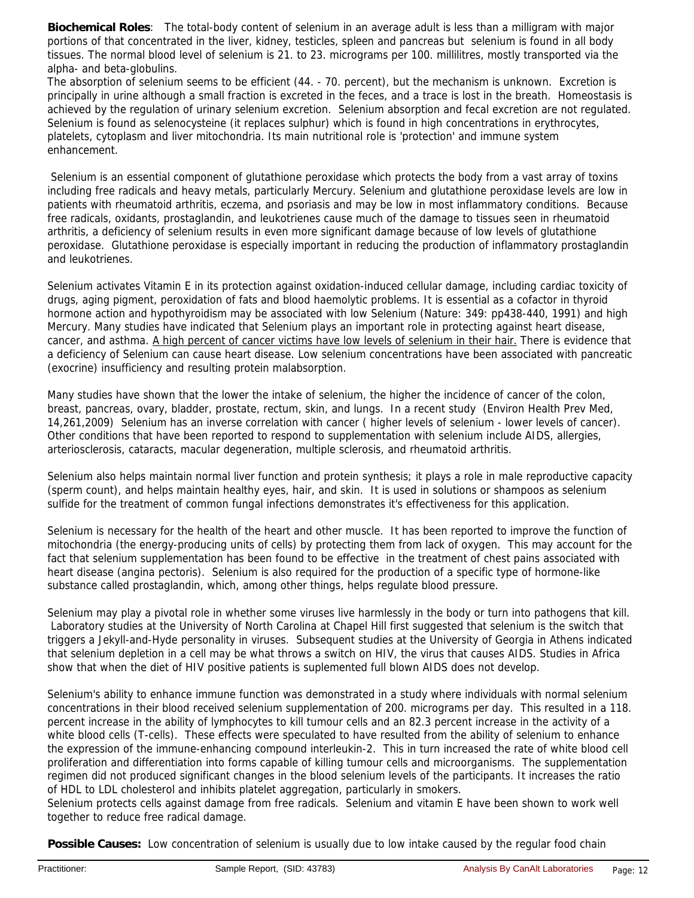**Biochemical Roles**: The total-body content of selenium in an average adult is less than a milligram with major portions of that concentrated in the liver, kidney, testicles, spleen and pancreas but selenium is found in all body tissues. The normal blood level of selenium is 21. to 23. micrograms per 100. millilitres, mostly transported via the alpha- and beta-globulins.

The absorption of selenium seems to be efficient (44. - 70. percent), but the mechanism is unknown. Excretion is principally in urine although a small fraction is excreted in the feces, and a trace is lost in the breath. Homeostasis is achieved by the regulation of urinary selenium excretion. Selenium absorption and fecal excretion are not regulated. Selenium is found as selenocysteine (it replaces sulphur) which is found in high concentrations in erythrocytes, platelets, cytoplasm and liver mitochondria. Its main nutritional role is 'protection' and immune system enhancement.

Selenium is an essential component of glutathione peroxidase which protects the body from a vast array of toxins including free radicals and heavy metals, particularly Mercury. Selenium and glutathione peroxidase levels are low in patients with rheumatoid arthritis, eczema, and psoriasis and may be low in most inflammatory conditions. Because free radicals, oxidants, prostaglandin, and leukotrienes cause much of the damage to tissues seen in rheumatoid arthritis, a deficiency of selenium results in even more significant damage because of low levels of glutathione peroxidase. Glutathione peroxidase is especially important in reducing the production of inflammatory prostaglandin and leukotrienes.

Selenium activates Vitamin E in its protection against oxidation-induced cellular damage, including cardiac toxicity of drugs, aging pigment, peroxidation of fats and blood haemolytic problems. It is essential as a cofactor in thyroid hormone action and hypothyroidism may be associated with low Selenium (Nature: 349: pp438-440, 1991) and high Mercury. Many studies have indicated that Selenium plays an important role in protecting against heart disease, cancer, and asthma. A high percent of cancer victims have low levels of selenium in their hair. There is evidence that a deficiency of Selenium can cause heart disease. Low selenium concentrations have been associated with pancreatic (exocrine) insufficiency and resulting protein malabsorption.

Many studies have shown that the lower the intake of selenium, the higher the incidence of cancer of the colon, breast, pancreas, ovary, bladder, prostate, rectum, skin, and lungs. In a recent study (Environ Health Prev Med, 14,261,2009) Selenium has an inverse correlation with cancer ( higher levels of selenium - lower levels of cancer). Other conditions that have been reported to respond to supplementation with selenium include AIDS, allergies, arteriosclerosis, cataracts, macular degeneration, multiple sclerosis, and rheumatoid arthritis.

Selenium also helps maintain normal liver function and protein synthesis; it plays a role in male reproductive capacity (sperm count), and helps maintain healthy eyes, hair, and skin. It is used in solutions or shampoos as selenium sulfide for the treatment of common fungal infections demonstrates it's effectiveness for this application.

Selenium is necessary for the health of the heart and other muscle. It has been reported to improve the function of mitochondria (the energy-producing units of cells) by protecting them from lack of oxygen. This may account for the fact that selenium supplementation has been found to be effective in the treatment of chest pains associated with heart disease (angina pectoris). Selenium is also required for the production of a specific type of hormone-like substance called prostaglandin, which, among other things, helps regulate blood pressure.

Selenium may play a pivotal role in whether some viruses live harmlessly in the body or turn into pathogens that kill. Laboratory studies at the University of North Carolina at Chapel Hill first suggested that selenium is the switch that triggers a Jekyll-and-Hyde personality in viruses. Subsequent studies at the University of Georgia in Athens indicated that selenium depletion in a cell may be what throws a switch on HIV, the virus that causes AIDS. Studies in Africa show that when the diet of HIV positive patients is suplemented full blown AIDS does not develop.

Selenium's ability to enhance immune function was demonstrated in a study where individuals with normal selenium concentrations in their blood received selenium supplementation of 200. micrograms per day. This resulted in a 118. percent increase in the ability of lymphocytes to kill tumour cells and an 82.3 percent increase in the activity of a white blood cells (T-cells). These effects were speculated to have resulted from the ability of selenium to enhance the expression of the immune-enhancing compound interleukin-2. This in turn increased the rate of white blood cell proliferation and differentiation into forms capable of killing tumour cells and microorganisms. The supplementation regimen did not produced significant changes in the blood selenium levels of the participants. It increases the ratio of HDL to LDL cholesterol and inhibits platelet aggregation, particularly in smokers.

Selenium protects cells against damage from free radicals. Selenium and vitamin E have been shown to work well together to reduce free radical damage.

**Possible Causes:** Low concentration of selenium is usually due to low intake caused by the regular food chain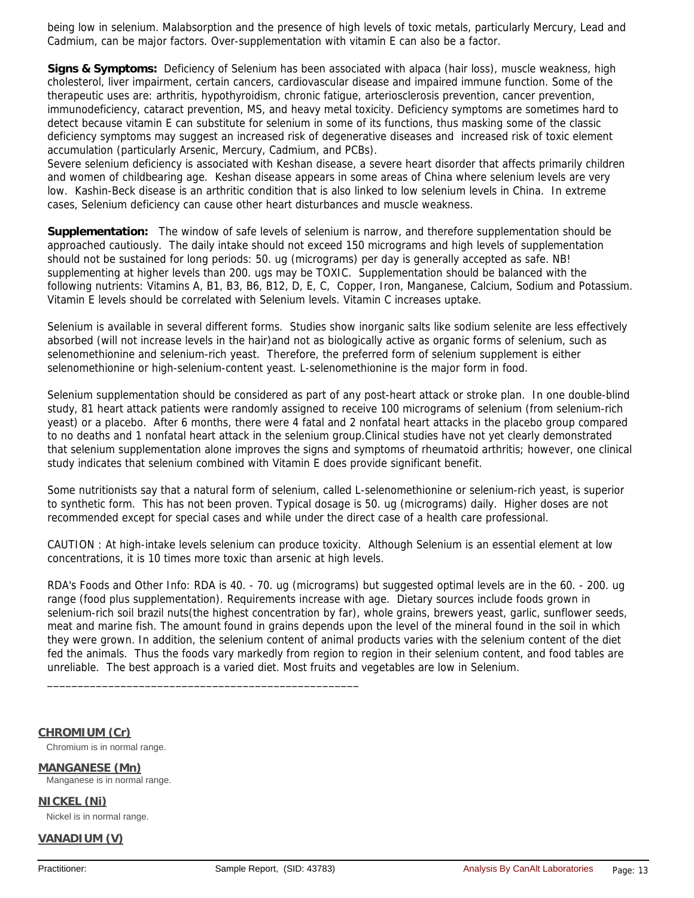being low in selenium. Malabsorption and the presence of high levels of toxic metals, particularly Mercury, Lead and Cadmium, can be major factors. Over-supplementation with vitamin E can also be a factor.

**Signs & Symptoms:** Deficiency of Selenium has been associated with alpaca (hair loss), muscle weakness, high cholesterol, liver impairment, certain cancers, cardiovascular disease and impaired immune function. Some of the therapeutic uses are: arthritis, hypothyroidism, chronic fatigue, arteriosclerosis prevention, cancer prevention, immunodeficiency, cataract prevention, MS, and heavy metal toxicity. Deficiency symptoms are sometimes hard to detect because vitamin E can substitute for selenium in some of its functions, thus masking some of the classic deficiency symptoms may suggest an increased risk of degenerative diseases and increased risk of toxic element accumulation (particularly Arsenic, Mercury, Cadmium, and PCBs).

Severe selenium deficiency is associated with Keshan disease, a severe heart disorder that affects primarily children and women of childbearing age. Keshan disease appears in some areas of China where selenium levels are very low. Kashin-Beck disease is an arthritic condition that is also linked to low selenium levels in China. In extreme cases, Selenium deficiency can cause other heart disturbances and muscle weakness.

**Supplementation:** The window of safe levels of selenium is narrow, and therefore supplementation should be approached cautiously. The daily intake should not exceed 150 micrograms and high levels of supplementation should not be sustained for long periods: 50. ug (micrograms) per day is generally accepted as safe. NB! supplementing at higher levels than 200. ugs may be TOXIC. Supplementation should be balanced with the following nutrients: Vitamins A, B1, B3, B6, B12, D, E, C, Copper, Iron, Manganese, Calcium, Sodium and Potassium. Vitamin E levels should be correlated with Selenium levels. Vitamin C increases uptake.

Selenium is available in several different forms. Studies show inorganic salts like sodium selenite are less effectively absorbed (will not increase levels in the hair)and not as biologically active as organic forms of selenium, such as selenomethionine and selenium-rich yeast. Therefore, the preferred form of selenium supplement is either selenomethionine or high-selenium-content yeast. L-selenomethionine is the major form in food.

Selenium supplementation should be considered as part of any post-heart attack or stroke plan. In one double-blind study, 81 heart attack patients were randomly assigned to receive 100 micrograms of selenium (from selenium-rich yeast) or a placebo. After 6 months, there were 4 fatal and 2 nonfatal heart attacks in the placebo group compared to no deaths and 1 nonfatal heart attack in the selenium group.Clinical studies have not yet clearly demonstrated that selenium supplementation alone improves the signs and symptoms of rheumatoid arthritis; however, one clinical study indicates that selenium combined with Vitamin E does provide significant benefit.

Some nutritionists say that a natural form of selenium, called L-selenomethionine or selenium-rich yeast, is superior to synthetic form. This has not been proven. Typical dosage is 50. ug (micrograms) daily. Higher doses are not recommended except for special cases and while under the direct case of a health care professional.

CAUTION : At high-intake levels selenium can produce toxicity. Although Selenium is an essential element at low concentrations, it is 10 times more toxic than arsenic at high levels.

RDA's Foods and Other Info: RDA is 40. - 70. ug (micrograms) but suggested optimal levels are in the 60. - 200. ug range (food plus supplementation). Requirements increase with age. Dietary sources include foods grown in selenium-rich soil brazil nuts(the highest concentration by far), whole grains, brewers yeast, garlic, sunflower seeds, meat and marine fish. The amount found in grains depends upon the level of the mineral found in the soil in which they were grown. In addition, the selenium content of animal products varies with the selenium content of the diet fed the animals. Thus the foods vary markedly from region to region in their selenium content, and food tables are unreliable. The best approach is a varied diet. Most fruits and vegetables are low in Selenium.

### **CHROMIUM (Cr)**

Chromium is in normal range.

**MANGANESE (Mn)** Manganese is in normal range.

**NICKEL (Ni)** Nickel is in normal range.

**VANADIUM (V)**

\_\_\_\_\_\_\_\_\_\_\_\_\_\_\_\_\_\_\_\_\_\_\_\_\_\_\_\_\_\_\_\_\_\_\_\_\_\_\_\_\_\_\_\_\_\_\_\_\_\_\_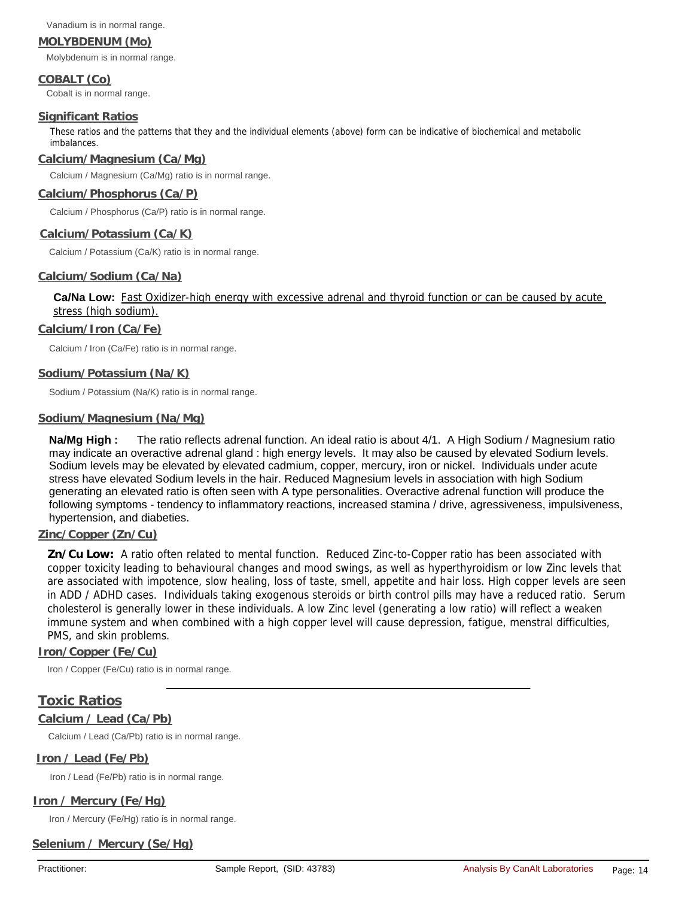Vanadium is in normal range.

### **MOLYBDENUM (Mo)**

Molybdenum is in normal range.

**COBALT (Co)** Cobalt is in normal range.

#### **Significant Ratios**

These ratios and the patterns that they and the individual elements (above) form can be indicative of biochemical and metabolic imbalances.

#### **Calcium/Magnesium (Ca/Mg)**

Calcium / Magnesium (Ca/Mg) ratio is in normal range.

#### **Calcium/Phosphorus (Ca/P)**

Calcium / Phosphorus (Ca/P) ratio is in normal range.

#### **Calcium/Potassium (Ca/K)**

Calcium / Potassium (Ca/K) ratio is in normal range.

### **Calcium/Sodium (Ca/Na)**

## **Ca/Na Low:** Fast Oxidizer-high energy with excessive adrenal and thyroid function or can be caused by acute stress (high sodium).

#### **Calcium/Iron (Ca/Fe)**

Calcium / Iron (Ca/Fe) ratio is in normal range.

#### **Sodium/Potassium (Na/K)**

Sodium / Potassium (Na/K) ratio is in normal range.

#### **Sodium/Magnesium (Na/Mg)**

**Na/Mg High :** The ratio reflects adrenal function. An ideal ratio is about 4/1. A High Sodium / Magnesium ratio may indicate an overactive adrenal gland : high energy levels. It may also be caused by elevated Sodium levels. Sodium levels may be elevated by elevated cadmium, copper, mercury, iron or nickel. Individuals under acute stress have elevated Sodium levels in the hair. Reduced Magnesium levels in association with high Sodium generating an elevated ratio is often seen with A type personalities. Overactive adrenal function will produce the following symptoms - tendency to inflammatory reactions, increased stamina / drive, agressiveness, impulsiveness, hypertension, and diabeties.

#### **Zinc/Copper (Zn/Cu)**

**Zn/Cu Low:** A ratio often related to mental function. Reduced Zinc-to-Copper ratio has been associated with copper toxicity leading to behavioural changes and mood swings, as well as hyperthyroidism or low Zinc levels that are associated with impotence, slow healing, loss of taste, smell, appetite and hair loss. High copper levels are seen in ADD / ADHD cases. Individuals taking exogenous steroids or birth control pills may have a reduced ratio. Serum cholesterol is generally lower in these individuals. A low Zinc level (generating a low ratio) will reflect a weaken immune system and when combined with a high copper level will cause depression, fatigue, menstral difficulties, PMS, and skin problems.

#### **Iron/Copper (Fe/Cu)**

Iron / Copper (Fe/Cu) ratio is in normal range.

# **Toxic Ratios**

### **Calcium / Lead (Ca/Pb)**

Calcium / Lead (Ca/Pb) ratio is in normal range.

### **Iron / Lead (Fe/Pb)**

Iron / Lead (Fe/Pb) ratio is in normal range.

### **Iron / Mercury (Fe/Hg)**

Iron / Mercury (Fe/Hg) ratio is in normal range.

## **Selenium / Mercury (Se/Hg)**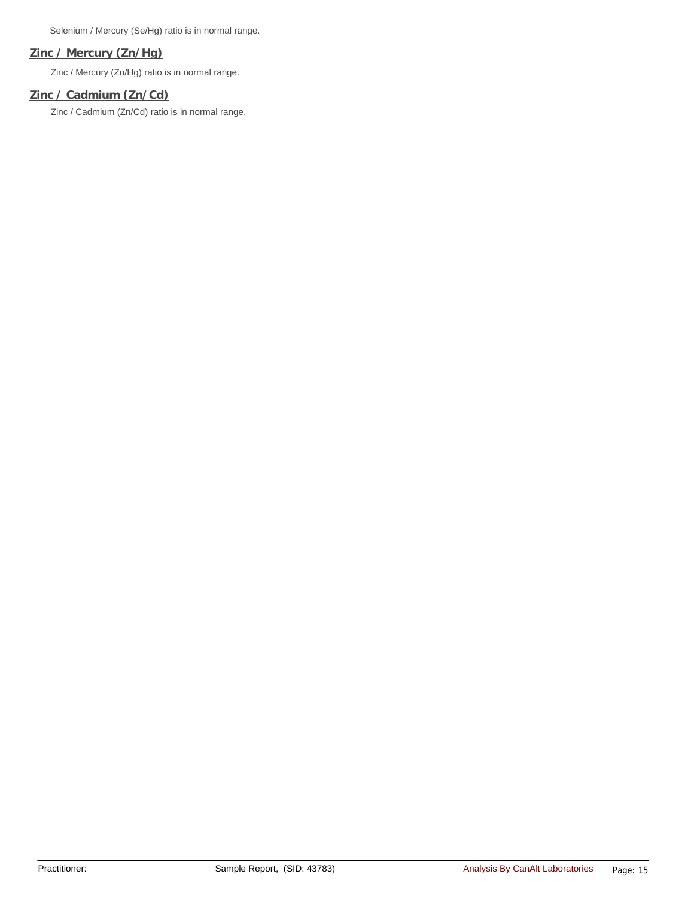Selenium / Mercury (Se/Hg) ratio is in normal range.

## **Zinc / Mercury (Zn/Hg)**

Zinc / Mercury (Zn/Hg) ratio is in normal range.

# **Zinc / Cadmium (Zn/Cd)**

Zinc / Cadmium (Zn/Cd) ratio is in normal range.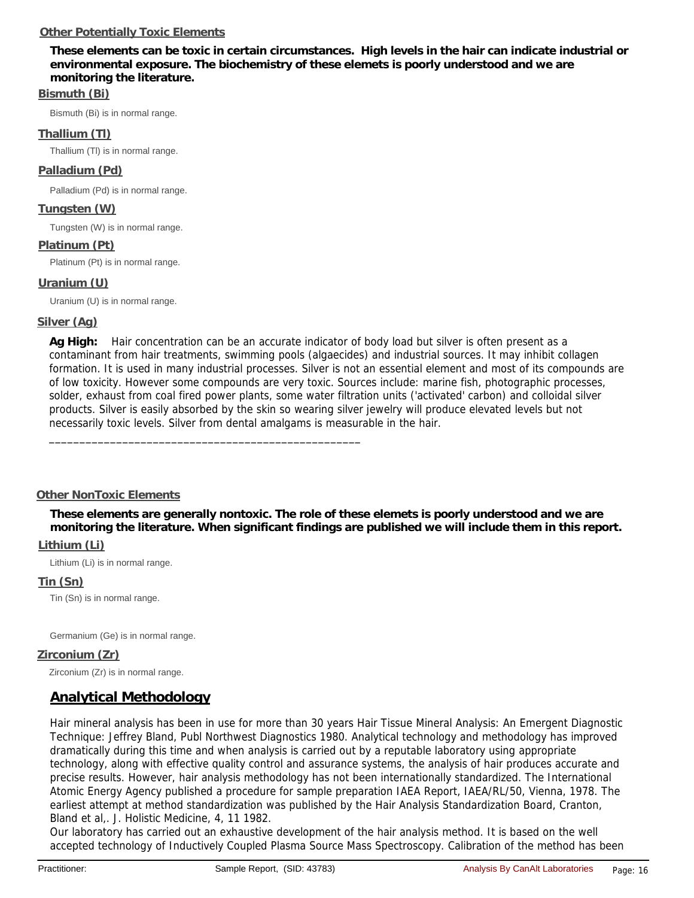# **Other Potentially Toxic Elements**

**These elements can be toxic in certain circumstances. High levels in the hair can indicate industrial or environmental exposure. The biochemistry of these elemets is poorly understood and we are monitoring the literature.** 

# **Bismuth (Bi)**

Bismuth (Bi) is in normal range.

# **Thallium (Tl)**

Thallium (Tl) is in normal range.

# **Palladium (Pd)**

Palladium (Pd) is in normal range.

# **Tungsten (W)**

Tungsten (W) is in normal range.

## **Platinum (Pt)**

Platinum (Pt) is in normal range.

# **Uranium (U)**

Uranium (U) is in normal range.

# **Silver (Ag)**

**Ag High:** Hair concentration can be an accurate indicator of body load but silver is often present as a contaminant from hair treatments, swimming pools (algaecides) and industrial sources. It may inhibit collagen formation. It is used in many industrial processes. Silver is not an essential element and most of its compounds are of low toxicity. However some compounds are very toxic. Sources include: marine fish, photographic processes, solder, exhaust from coal fired power plants, some water filtration units ('activated' carbon) and colloidal silver products. Silver is easily absorbed by the skin so wearing silver jewelry will produce elevated levels but not necessarily toxic levels. Silver from dental amalgams is measurable in the hair.

### **Other NonToxic Elements**

\_\_\_\_\_\_\_\_\_\_\_\_\_\_\_\_\_\_\_\_\_\_\_\_\_\_\_\_\_\_\_\_\_\_\_\_\_\_\_\_\_\_\_\_\_\_\_\_\_\_\_

**These elements are generally nontoxic. The role of these elemets is poorly understood and we are monitoring the literature. When significant findings are published we will include them in this report.**

# **Lithium (Li)**

Lithium (Li) is in normal range.

### **Tin (Sn)**

Tin (Sn) is in normal range.

Germanium (Ge) is in normal range.

### **Zirconium (Zr)**

Zirconium (Zr) is in normal range.

# **Analytical Methodology**

Hair mineral analysis has been in use for more than 30 years Hair Tissue Mineral Analysis: An Emergent Diagnostic Technique: Jeffrey Bland, Publ Northwest Diagnostics 1980. Analytical technology and methodology has improved dramatically during this time and when analysis is carried out by a reputable laboratory using appropriate technology, along with effective quality control and assurance systems, the analysis of hair produces accurate and precise results. However, hair analysis methodology has not been internationally standardized. The International Atomic Energy Agency published a procedure for sample preparation IAEA Report, IAEA/RL/50, Vienna, 1978. The earliest attempt at method standardization was published by the Hair Analysis Standardization Board, Cranton, Bland et al,. J. Holistic Medicine, 4, 11 1982.

Our laboratory has carried out an exhaustive development of the hair analysis method. It is based on the well accepted technology of Inductively Coupled Plasma Source Mass Spectroscopy. Calibration of the method has been